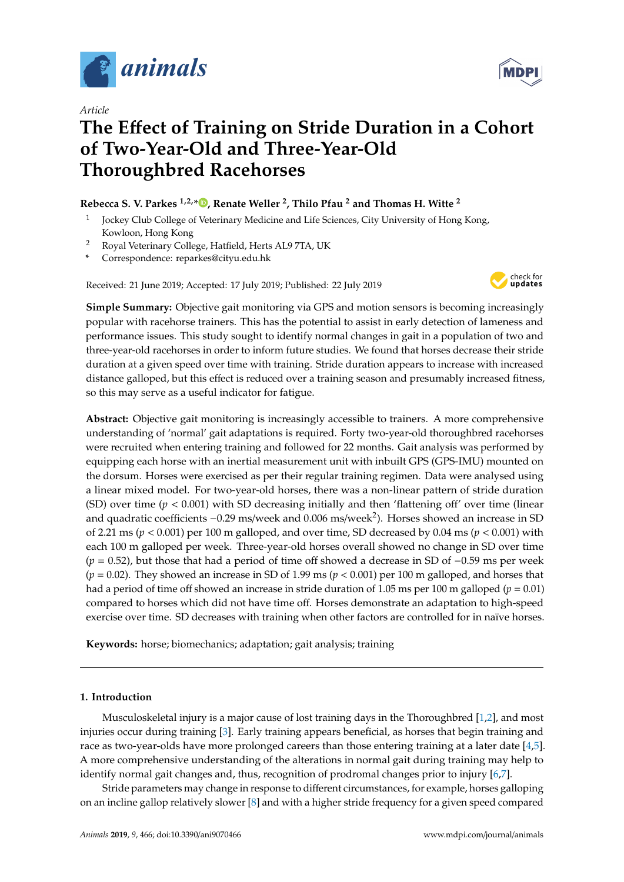

*Article*

# **The E**ff**ect of Training on Stride Duration in a Cohort of Two-Year-Old and Three-Year-Old Thoroughbred Racehorses**

# **Rebecca S. V. Parkes 1,2,[\\*](https://orcid.org/0000-0001-5465-8578) , Renate Weller <sup>2</sup> , Thilo Pfau <sup>2</sup> and Thomas H. Witte <sup>2</sup>**

- 1 Jockey Club College of Veterinary Medicine and Life Sciences, City University of Hong Kong, Kowloon, Hong Kong
- <sup>2</sup> Royal Veterinary College, Hatfield, Herts AL9 7TA, UK
- **\*** Correspondence: reparkes@cityu.edu.hk

Received: 21 June 2019; Accepted: 17 July 2019; Published: 22 July 2019



**Simple Summary:** Objective gait monitoring via GPS and motion sensors is becoming increasingly popular with racehorse trainers. This has the potential to assist in early detection of lameness and performance issues. This study sought to identify normal changes in gait in a population of two and three-year-old racehorses in order to inform future studies. We found that horses decrease their stride duration at a given speed over time with training. Stride duration appears to increase with increased distance galloped, but this effect is reduced over a training season and presumably increased fitness, so this may serve as a useful indicator for fatigue.

**Abstract:** Objective gait monitoring is increasingly accessible to trainers. A more comprehensive understanding of 'normal' gait adaptations is required. Forty two-year-old thoroughbred racehorses were recruited when entering training and followed for 22 months. Gait analysis was performed by equipping each horse with an inertial measurement unit with inbuilt GPS (GPS-IMU) mounted on the dorsum. Horses were exercised as per their regular training regimen. Data were analysed using a linear mixed model. For two-year-old horses, there was a non-linear pattern of stride duration (SD) over time ( $p < 0.001$ ) with SD decreasing initially and then 'flattening off' over time (linear and quadratic coefficients -0.29 ms/week and 0.006 ms/week<sup>2</sup>). Horses showed an increase in SD of 2.21 ms (*p* < 0.001) per 100 m galloped, and over time, SD decreased by 0.04 ms (*p* < 0.001) with each 100 m galloped per week. Three-year-old horses overall showed no change in SD over time (*p* = 0.52), but those that had a period of time off showed a decrease in SD of −0.59 ms per week  $(p = 0.02)$ . They showed an increase in SD of 1.99 ms  $(p < 0.001)$  per 100 m galloped, and horses that had a period of time off showed an increase in stride duration of 1.05 ms per 100 m galloped (*p* = 0.01) compared to horses which did not have time off. Horses demonstrate an adaptation to high-speed exercise over time. SD decreases with training when other factors are controlled for in naïve horses.

**Keywords:** horse; biomechanics; adaptation; gait analysis; training

# **1. Introduction**

Musculoskeletal injury is a major cause of lost training days in the Thoroughbred [\[1](#page-8-0)[,2\]](#page-8-1), and most injuries occur during training [\[3\]](#page-8-2). Early training appears beneficial, as horses that begin training and race as two-year-olds have more prolonged careers than those entering training at a later date [\[4,](#page-8-3)[5\]](#page-8-4). A more comprehensive understanding of the alterations in normal gait during training may help to identify normal gait changes and, thus, recognition of prodromal changes prior to injury [\[6](#page-8-5)[,7\]](#page-8-6).

Stride parameters may change in response to different circumstances, for example, horses galloping on an incline gallop relatively slower [\[8\]](#page-8-7) and with a higher stride frequency for a given speed compared

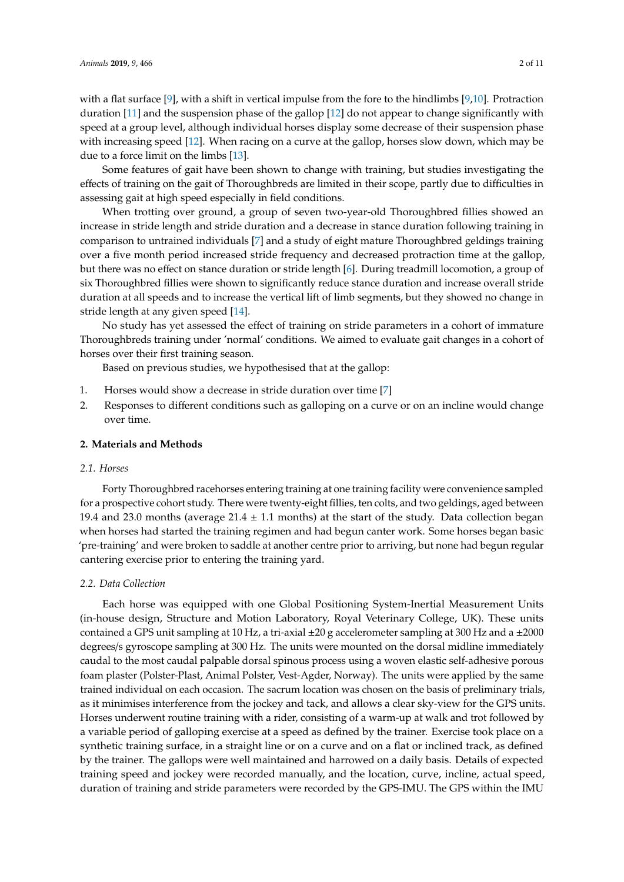with a flat surface  $[9]$ , with a shift in vertical impulse from the fore to the hindlimbs  $[9,10]$  $[9,10]$ . Protraction duration [\[11\]](#page-8-10) and the suspension phase of the gallop [\[12\]](#page-8-11) do not appear to change significantly with speed at a group level, although individual horses display some decrease of their suspension phase with increasing speed [\[12\]](#page-8-11). When racing on a curve at the gallop, horses slow down, which may be due to a force limit on the limbs [\[13\]](#page-8-12).

Some features of gait have been shown to change with training, but studies investigating the effects of training on the gait of Thoroughbreds are limited in their scope, partly due to difficulties in assessing gait at high speed especially in field conditions.

When trotting over ground, a group of seven two-year-old Thoroughbred fillies showed an increase in stride length and stride duration and a decrease in stance duration following training in comparison to untrained individuals [\[7\]](#page-8-6) and a study of eight mature Thoroughbred geldings training over a five month period increased stride frequency and decreased protraction time at the gallop, but there was no effect on stance duration or stride length [\[6\]](#page-8-5). During treadmill locomotion, a group of six Thoroughbred fillies were shown to significantly reduce stance duration and increase overall stride duration at all speeds and to increase the vertical lift of limb segments, but they showed no change in stride length at any given speed [\[14\]](#page-8-13).

No study has yet assessed the effect of training on stride parameters in a cohort of immature Thoroughbreds training under 'normal' conditions. We aimed to evaluate gait changes in a cohort of horses over their first training season.

Based on previous studies, we hypothesised that at the gallop:

- 1. Horses would show a decrease in stride duration over time [\[7\]](#page-8-6)
- 2. Responses to different conditions such as galloping on a curve or on an incline would change over time.

# **2. Materials and Methods**

#### *2.1. Horses*

Forty Thoroughbred racehorses entering training at one training facility were convenience sampled for a prospective cohort study. There were twenty-eight fillies, ten colts, and two geldings, aged between 19.4 and 23.0 months (average  $21.4 \pm 1.1$  months) at the start of the study. Data collection began when horses had started the training regimen and had begun canter work. Some horses began basic 'pre-training' and were broken to saddle at another centre prior to arriving, but none had begun regular cantering exercise prior to entering the training yard.

#### *2.2. Data Collection*

Each horse was equipped with one Global Positioning System-Inertial Measurement Units (in-house design, Structure and Motion Laboratory, Royal Veterinary College, UK). These units contained a GPS unit sampling at 10 Hz, a tri-axial  $\pm 20$  g accelerometer sampling at 300 Hz and a  $\pm 2000$ degrees/s gyroscope sampling at 300 Hz. The units were mounted on the dorsal midline immediately caudal to the most caudal palpable dorsal spinous process using a woven elastic self-adhesive porous foam plaster (Polster-Plast, Animal Polster, Vest-Agder, Norway). The units were applied by the same trained individual on each occasion. The sacrum location was chosen on the basis of preliminary trials, as it minimises interference from the jockey and tack, and allows a clear sky-view for the GPS units. Horses underwent routine training with a rider, consisting of a warm-up at walk and trot followed by a variable period of galloping exercise at a speed as defined by the trainer. Exercise took place on a synthetic training surface, in a straight line or on a curve and on a flat or inclined track, as defined by the trainer. The gallops were well maintained and harrowed on a daily basis. Details of expected training speed and jockey were recorded manually, and the location, curve, incline, actual speed, duration of training and stride parameters were recorded by the GPS-IMU. The GPS within the IMU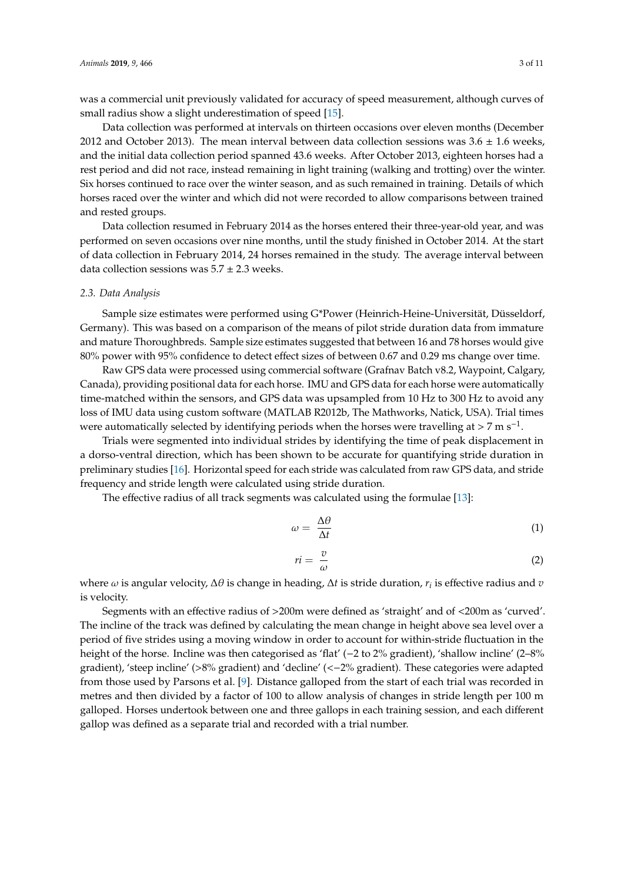was a commercial unit previously validated for accuracy of speed measurement, although curves of small radius show a slight underestimation of speed [\[15\]](#page-8-14).

Data collection was performed at intervals on thirteen occasions over eleven months (December 2012 and October 2013). The mean interval between data collection sessions was  $3.6 \pm 1.6$  weeks, and the initial data collection period spanned 43.6 weeks. After October 2013, eighteen horses had a rest period and did not race, instead remaining in light training (walking and trotting) over the winter. Six horses continued to race over the winter season, and as such remained in training. Details of which horses raced over the winter and which did not were recorded to allow comparisons between trained and rested groups.

Data collection resumed in February 2014 as the horses entered their three-year-old year, and was performed on seven occasions over nine months, until the study finished in October 2014. At the start of data collection in February 2014, 24 horses remained in the study. The average interval between data collection sessions was  $5.7 \pm 2.3$  weeks.

#### *2.3. Data Analysis*

Sample size estimates were performed using G\*Power (Heinrich-Heine-Universität, Düsseldorf, Germany). This was based on a comparison of the means of pilot stride duration data from immature and mature Thoroughbreds. Sample size estimates suggested that between 16 and 78 horses would give 80% power with 95% confidence to detect effect sizes of between 0.67 and 0.29 ms change over time.

Raw GPS data were processed using commercial software (Grafnav Batch v8.2, Waypoint, Calgary, Canada), providing positional data for each horse. IMU and GPS data for each horse were automatically time-matched within the sensors, and GPS data was upsampled from 10 Hz to 300 Hz to avoid any loss of IMU data using custom software (MATLAB R2012b, The Mathworks, Natick, USA). Trial times were automatically selected by identifying periods when the horses were travelling at > 7 m s<sup>-1</sup>.

Trials were segmented into individual strides by identifying the time of peak displacement in a dorso-ventral direction, which has been shown to be accurate for quantifying stride duration in preliminary studies [\[16\]](#page-8-15). Horizontal speed for each stride was calculated from raw GPS data, and stride frequency and stride length were calculated using stride duration.

The effective radius of all track segments was calculated using the formulae [\[13\]](#page-8-12):

$$
\omega = \frac{\Delta \theta}{\Delta t} \tag{1}
$$

$$
ri = \frac{v}{\omega} \tag{2}
$$

where ω is angular velocity, ∆θ is change in heading, ∆*t* is stride duration, *r<sup>i</sup>* is effective radius and *v* is velocity.

Segments with an effective radius of >200m were defined as 'straight' and of <200m as 'curved'. The incline of the track was defined by calculating the mean change in height above sea level over a period of five strides using a moving window in order to account for within-stride fluctuation in the height of the horse. Incline was then categorised as 'flat' (−2 to 2% gradient), 'shallow incline' (2–8% gradient), 'steep incline' (>8% gradient) and 'decline' (<−2% gradient). These categories were adapted from those used by Parsons et al. [\[9\]](#page-8-8). Distance galloped from the start of each trial was recorded in metres and then divided by a factor of 100 to allow analysis of changes in stride length per 100 m galloped. Horses undertook between one and three gallops in each training session, and each different gallop was defined as a separate trial and recorded with a trial number.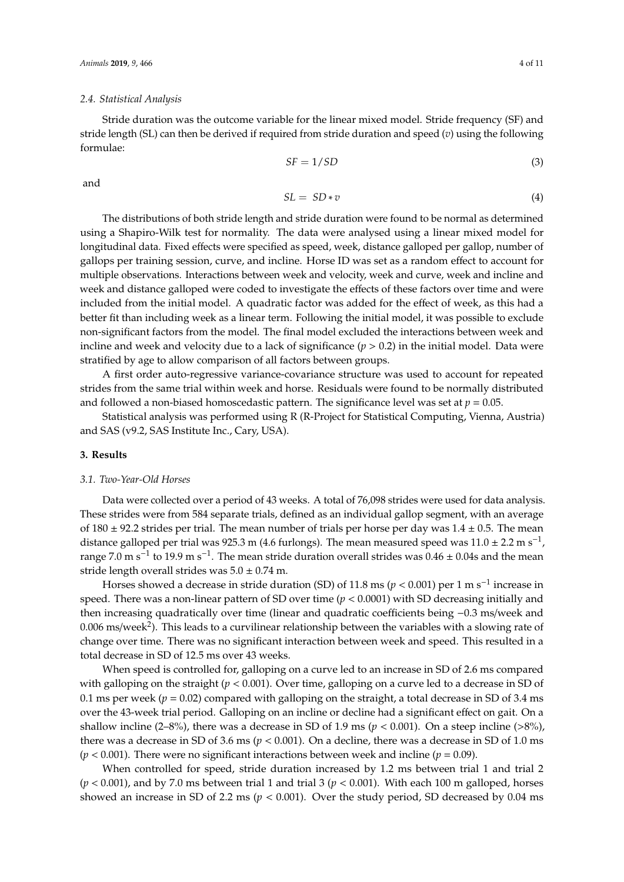#### *2.4. Statistical Analysis*

Stride duration was the outcome variable for the linear mixed model. Stride frequency (SF) and stride length (SL) can then be derived if required from stride duration and speed (*v*) using the following formulae:

$$
SF = 1/SD
$$
 (3)

and

$$
SL = SD * v \tag{4}
$$

The distributions of both stride length and stride duration were found to be normal as determined using a Shapiro-Wilk test for normality. The data were analysed using a linear mixed model for longitudinal data. Fixed effects were specified as speed, week, distance galloped per gallop, number of gallops per training session, curve, and incline. Horse ID was set as a random effect to account for multiple observations. Interactions between week and velocity, week and curve, week and incline and week and distance galloped were coded to investigate the effects of these factors over time and were included from the initial model. A quadratic factor was added for the effect of week, as this had a better fit than including week as a linear term. Following the initial model, it was possible to exclude non-significant factors from the model. The final model excluded the interactions between week and incline and week and velocity due to a lack of significance  $(p > 0.2)$  in the initial model. Data were stratified by age to allow comparison of all factors between groups.

A first order auto-regressive variance-covariance structure was used to account for repeated strides from the same trial within week and horse. Residuals were found to be normally distributed and followed a non-biased homoscedastic pattern. The significance level was set at *p* = 0.05.

Statistical analysis was performed using R (R-Project for Statistical Computing, Vienna, Austria) and SAS (v9.2, SAS Institute Inc., Cary, USA).

#### **3. Results**

# *3.1. Two-Year-Old Horses*

Data were collected over a period of 43 weeks. A total of 76,098 strides were used for data analysis. These strides were from 584 separate trials, defined as an individual gallop segment, with an average of  $180 \pm 92.2$  strides per trial. The mean number of trials per horse per day was  $1.4 \pm 0.5$ . The mean distance galloped per trial was 925.3 m (4.6 furlongs). The mean measured speed was  $11.0 \pm 2.2$  m s<sup>-1</sup>, range 7.0 m s<sup>-1</sup> to 19.9 m s<sup>-1</sup>. The mean stride duration overall strides was 0.46 ± 0.04s and the mean stride length overall strides was  $5.0 \pm 0.74$  m.

Horses showed a decrease in stride duration (SD) of 11.8 ms (*p* < 0.001) per 1 m s−<sup>1</sup> increase in speed. There was a non-linear pattern of SD over time (*p* < 0.0001) with SD decreasing initially and then increasing quadratically over time (linear and quadratic coefficients being −0.3 ms/week and  $0.006$  ms/week<sup>2</sup>). This leads to a curvilinear relationship between the variables with a slowing rate of change over time. There was no significant interaction between week and speed. This resulted in a total decrease in SD of 12.5 ms over 43 weeks.

When speed is controlled for, galloping on a curve led to an increase in SD of 2.6 ms compared with galloping on the straight (*p* < 0.001). Over time, galloping on a curve led to a decrease in SD of 0.1 ms per week ( $p = 0.02$ ) compared with galloping on the straight, a total decrease in SD of 3.4 ms over the 43-week trial period. Galloping on an incline or decline had a significant effect on gait. On a shallow incline (2–8%), there was a decrease in SD of 1.9 ms ( $p < 0.001$ ). On a steep incline (>8%), there was a decrease in SD of 3.6 ms ( $p < 0.001$ ). On a decline, there was a decrease in SD of 1.0 ms  $(p < 0.001)$ . There were no significant interactions between week and incline  $(p = 0.09)$ .

When controlled for speed, stride duration increased by 1.2 ms between trial 1 and trial 2  $(p < 0.001)$ , and by 7.0 ms between trial 1 and trial 3  $(p < 0.001)$ . With each 100 m galloped, horses showed an increase in SD of 2.2 ms ( $p < 0.001$ ). Over the study period, SD decreased by 0.04 ms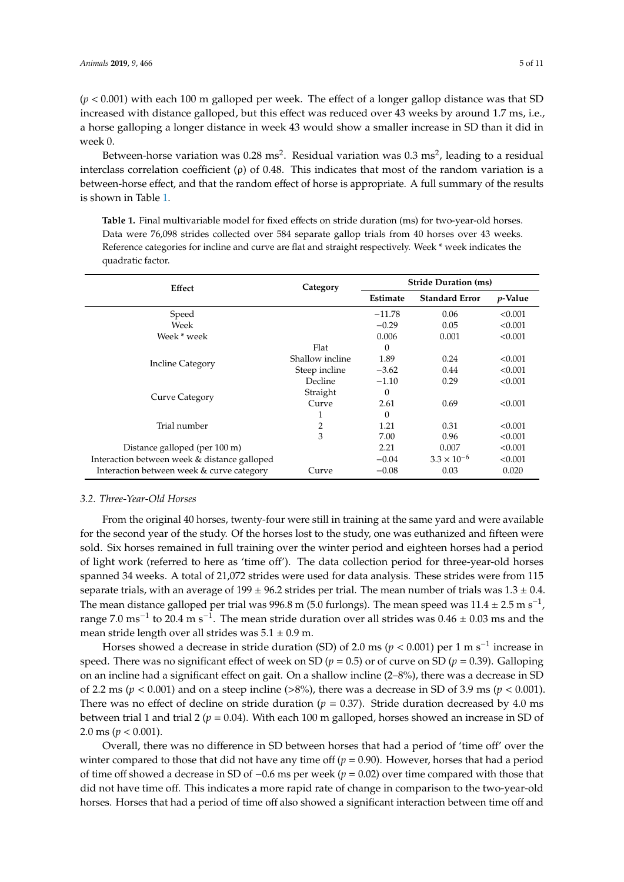(*p* < 0.001) with each 100 m galloped per week. The effect of a longer gallop distance was that SD increased with distance galloped, but this effect was reduced over 43 weeks by around 1.7 ms, i.e., a horse galloping a longer distance in week 43 would show a smaller increase in SD than it did in week 0.

Between-horse variation was  $0.28 \text{ ms}^2$ . Residual variation was  $0.3 \text{ ms}^2$ , leading to a residual interclass correlation coefficient  $(\rho)$  of 0.48. This indicates that most of the random variation is a between-horse effect, and that the random effect of horse is appropriate. A full summary of the results is shown in Table [1.](#page-4-0)

<span id="page-4-0"></span>**Table 1.** Final multivariable model for fixed effects on stride duration (ms) for two-year-old horses. Data were 76,098 strides collected over 584 separate gallop trials from 40 horses over 43 weeks. Reference categories for incline and curve are flat and straight respectively. Week \* week indicates the quadratic factor.

| Effect                                       | Category        | <b>Stride Duration (ms)</b> |                       |            |
|----------------------------------------------|-----------------|-----------------------------|-----------------------|------------|
|                                              |                 | Estimate                    | <b>Standard Error</b> | $p$ -Value |
| Speed                                        |                 | $-11.78$                    | 0.06                  | < 0.001    |
| Week                                         |                 | $-0.29$                     | 0.05                  | < 0.001    |
| Week * week                                  |                 | 0.006                       | 0.001                 | < 0.001    |
| <b>Incline Category</b>                      | Flat            | $\Omega$                    |                       |            |
|                                              | Shallow incline | 1.89                        | 0.24                  | < 0.001    |
|                                              | Steep incline   | $-3.62$                     | 0.44                  | < 0.001    |
|                                              | Decline         | $-1.10$                     | 0.29                  | < 0.001    |
| Curve Category                               | Straight        | $\Omega$                    |                       |            |
|                                              | Curve           | 2.61                        | 0.69                  | < 0.001    |
| Trial number                                 |                 | $\Omega$                    |                       |            |
|                                              | 2               | 1.21                        | 0.31                  | < 0.001    |
|                                              | 3               | 7.00                        | 0.96                  | < 0.001    |
| Distance galloped (per 100 m)                |                 | 2.21                        | 0.007                 | < 0.001    |
| Interaction between week & distance galloped |                 | $-0.04$                     | $3.3 \times 10^{-6}$  | < 0.001    |
| Interaction between week & curve category    | Curve           | $-0.08$                     | 0.03                  | 0.020      |

#### *3.2. Three-Year-Old Horses*

From the original 40 horses, twenty-four were still in training at the same yard and were available for the second year of the study. Of the horses lost to the study, one was euthanized and fifteen were sold. Six horses remained in full training over the winter period and eighteen horses had a period of light work (referred to here as 'time off'). The data collection period for three-year-old horses spanned 34 weeks. A total of 21,072 strides were used for data analysis. These strides were from 115 separate trials, with an average of  $199 \pm 96.2$  strides per trial. The mean number of trials was  $1.3 \pm 0.4$ . The mean distance galloped per trial was 996.8 m (5.0 furlongs). The mean speed was  $11.4 \pm 2.5$  m s<sup>-1</sup>, range 7.0 ms<sup>-1</sup> to 20.4 m s<sup>-1</sup>. The mean stride duration over all strides was 0.46 ± 0.03 ms and the mean stride length over all strides was  $5.1 \pm 0.9$  m.

Horses showed a decrease in stride duration (SD) of 2.0 ms (*p* < 0.001) per 1 m s<sup>-1</sup> increase in speed. There was no significant effect of week on SD ( $p = 0.5$ ) or of curve on SD ( $p = 0.39$ ). Galloping on an incline had a significant effect on gait. On a shallow incline (2–8%), there was a decrease in SD of 2.2 ms ( $p < 0.001$ ) and on a steep incline ( $>8\%$ ), there was a decrease in SD of 3.9 ms ( $p < 0.001$ ). There was no effect of decline on stride duration ( $p = 0.37$ ). Stride duration decreased by 4.0 ms between trial 1 and trial 2 ( $p = 0.04$ ). With each 100 m galloped, horses showed an increase in SD of 2.0 ms ( $p < 0.001$ ).

Overall, there was no difference in SD between horses that had a period of 'time off' over the winter compared to those that did not have any time off  $(p = 0.90)$ . However, horses that had a period of time off showed a decrease in SD of −0.6 ms per week (*p* = 0.02) over time compared with those that did not have time off. This indicates a more rapid rate of change in comparison to the two-year-old horses. Horses that had a period of time off also showed a significant interaction between time off and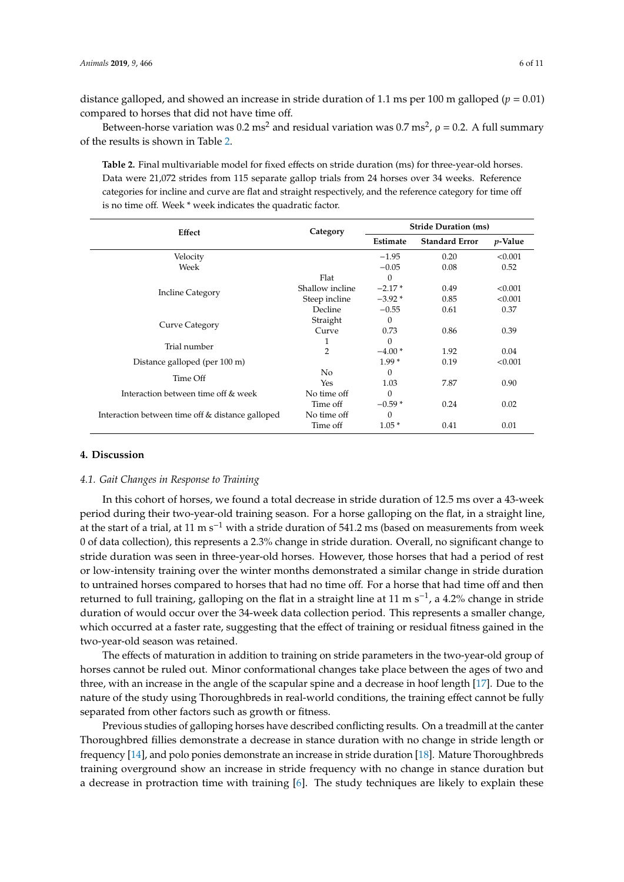distance galloped, and showed an increase in stride duration of 1.1 ms per 100 m galloped (*p* = 0.01) compared to horses that did not have time off.

Between-horse variation was 0.2 ms<sup>2</sup> and residual variation was 0.7 ms<sup>2</sup>, ρ = 0.2. A full summary of the results is shown in Table [2.](#page-5-0)

<span id="page-5-0"></span>**Table 2.** Final multivariable model for fixed effects on stride duration (ms) for three-year-old horses. Data were 21,072 strides from 115 separate gallop trials from 24 horses over 34 weeks. Reference categories for incline and curve are flat and straight respectively, and the reference category for time off is no time off. Week \* week indicates the quadratic factor.

| Effect                                           | Category        | <b>Stride Duration (ms)</b> |                       |            |
|--------------------------------------------------|-----------------|-----------------------------|-----------------------|------------|
|                                                  |                 | Estimate                    | <b>Standard Error</b> | $p$ -Value |
| Velocity                                         |                 | $-1.95$                     | 0.20                  | < 0.001    |
| Week                                             |                 | $-0.05$                     | 0.08                  | 0.52       |
| <b>Incline Category</b>                          | Flat            | $\theta$                    |                       |            |
|                                                  | Shallow incline | $-2.17*$                    | 0.49                  | < 0.001    |
|                                                  | Steep incline   | $-3.92*$                    | 0.85                  | < 0.001    |
|                                                  | Decline         | $-0.55$                     | 0.61                  | 0.37       |
| Curve Category                                   | Straight        | $\Omega$                    |                       |            |
|                                                  | Curve           | 0.73                        | 0.86                  | 0.39       |
| Trial number                                     | 1               | $\theta$                    |                       |            |
|                                                  | $\overline{2}$  | $-4.00*$                    | 1.92                  | 0.04       |
| Distance galloped (per 100 m)                    |                 | $1.99*$                     | 0.19                  | < 0.001    |
| Time Off                                         | No.             | $\Omega$                    |                       |            |
|                                                  | Yes             | 1.03                        | 7.87                  | 0.90       |
| Interaction between time off & week              | No time off     | $\theta$                    |                       |            |
|                                                  | Time off        | $-0.59*$                    | 0.24                  | 0.02       |
| Interaction between time off & distance galloped | No time off     | $\theta$                    |                       |            |
|                                                  | Time off        | $1.05*$                     | 0.41                  | 0.01       |

#### **4. Discussion**

# *4.1. Gait Changes in Response to Training*

In this cohort of horses, we found a total decrease in stride duration of 12.5 ms over a 43-week period during their two-year-old training season. For a horse galloping on the flat, in a straight line, at the start of a trial, at 11 m  $s^{-1}$  with a stride duration of 541.2 ms (based on measurements from week 0 of data collection), this represents a 2.3% change in stride duration. Overall, no significant change to stride duration was seen in three-year-old horses. However, those horses that had a period of rest or low-intensity training over the winter months demonstrated a similar change in stride duration to untrained horses compared to horses that had no time off. For a horse that had time off and then returned to full training, galloping on the flat in a straight line at 11 m s<sup>-1</sup>, a 4.2% change in stride duration of would occur over the 34-week data collection period. This represents a smaller change, which occurred at a faster rate, suggesting that the effect of training or residual fitness gained in the two-year-old season was retained.

The effects of maturation in addition to training on stride parameters in the two-year-old group of horses cannot be ruled out. Minor conformational changes take place between the ages of two and three, with an increase in the angle of the scapular spine and a decrease in hoof length [\[17\]](#page-8-16). Due to the nature of the study using Thoroughbreds in real-world conditions, the training effect cannot be fully separated from other factors such as growth or fitness.

Previous studies of galloping horses have described conflicting results. On a treadmill at the canter Thoroughbred fillies demonstrate a decrease in stance duration with no change in stride length or frequency [\[14\]](#page-8-13), and polo ponies demonstrate an increase in stride duration [\[18\]](#page-8-17). Mature Thoroughbreds training overground show an increase in stride frequency with no change in stance duration but a decrease in protraction time with training [\[6\]](#page-8-5). The study techniques are likely to explain these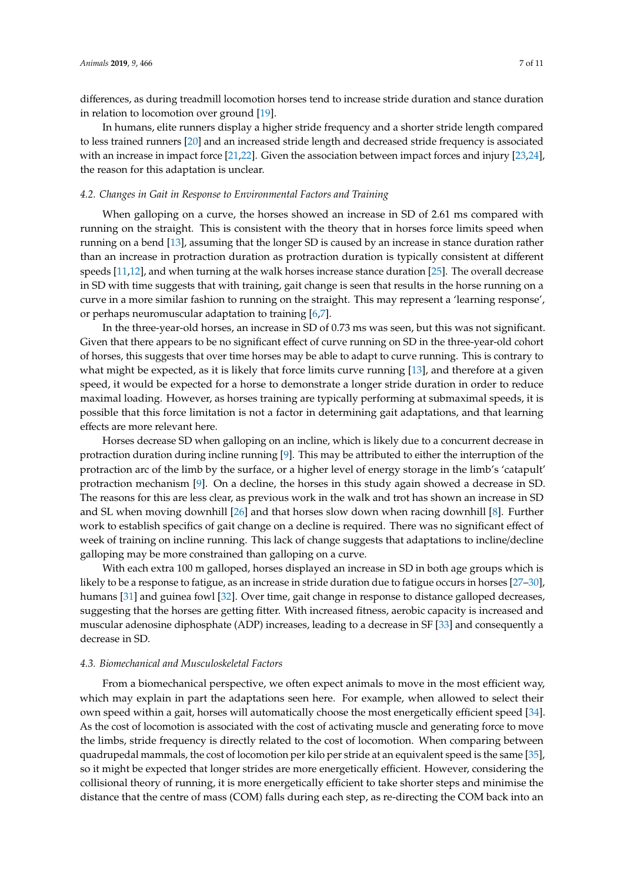differences, as during treadmill locomotion horses tend to increase stride duration and stance duration in relation to locomotion over ground [\[19\]](#page-9-0).

In humans, elite runners display a higher stride frequency and a shorter stride length compared to less trained runners [\[20\]](#page-9-1) and an increased stride length and decreased stride frequency is associated with an increase in impact force [\[21,](#page-9-2)[22\]](#page-9-3). Given the association between impact forces and injury [\[23](#page-9-4)[,24\]](#page-9-5), the reason for this adaptation is unclear.

#### *4.2. Changes in Gait in Response to Environmental Factors and Training*

When galloping on a curve, the horses showed an increase in SD of 2.61 ms compared with running on the straight. This is consistent with the theory that in horses force limits speed when running on a bend [\[13\]](#page-8-12), assuming that the longer SD is caused by an increase in stance duration rather than an increase in protraction duration as protraction duration is typically consistent at different speeds [\[11,](#page-8-10)[12\]](#page-8-11), and when turning at the walk horses increase stance duration [\[25\]](#page-9-6). The overall decrease in SD with time suggests that with training, gait change is seen that results in the horse running on a curve in a more similar fashion to running on the straight. This may represent a 'learning response', or perhaps neuromuscular adaptation to training [\[6,](#page-8-5)[7\]](#page-8-6).

In the three-year-old horses, an increase in SD of 0.73 ms was seen, but this was not significant. Given that there appears to be no significant effect of curve running on SD in the three-year-old cohort of horses, this suggests that over time horses may be able to adapt to curve running. This is contrary to what might be expected, as it is likely that force limits curve running [\[13\]](#page-8-12), and therefore at a given speed, it would be expected for a horse to demonstrate a longer stride duration in order to reduce maximal loading. However, as horses training are typically performing at submaximal speeds, it is possible that this force limitation is not a factor in determining gait adaptations, and that learning effects are more relevant here.

Horses decrease SD when galloping on an incline, which is likely due to a concurrent decrease in protraction duration during incline running [\[9\]](#page-8-8). This may be attributed to either the interruption of the protraction arc of the limb by the surface, or a higher level of energy storage in the limb's 'catapult' protraction mechanism [\[9\]](#page-8-8). On a decline, the horses in this study again showed a decrease in SD. The reasons for this are less clear, as previous work in the walk and trot has shown an increase in SD and SL when moving downhill [\[26\]](#page-9-7) and that horses slow down when racing downhill [\[8\]](#page-8-7). Further work to establish specifics of gait change on a decline is required. There was no significant effect of week of training on incline running. This lack of change suggests that adaptations to incline/decline galloping may be more constrained than galloping on a curve.

With each extra 100 m galloped, horses displayed an increase in SD in both age groups which is likely to be a response to fatigue, as an increase in stride duration due to fatigue occurs in horses [\[27](#page-9-8)[–30\]](#page-9-9), humans [\[31\]](#page-9-10) and guinea fowl [\[32\]](#page-9-11). Over time, gait change in response to distance galloped decreases, suggesting that the horses are getting fitter. With increased fitness, aerobic capacity is increased and muscular adenosine diphosphate (ADP) increases, leading to a decrease in SF [\[33\]](#page-9-12) and consequently a decrease in SD.

# *4.3. Biomechanical and Musculoskeletal Factors*

From a biomechanical perspective, we often expect animals to move in the most efficient way, which may explain in part the adaptations seen here. For example, when allowed to select their own speed within a gait, horses will automatically choose the most energetically efficient speed [\[34\]](#page-9-13). As the cost of locomotion is associated with the cost of activating muscle and generating force to move the limbs, stride frequency is directly related to the cost of locomotion. When comparing between quadrupedal mammals, the cost of locomotion per kilo per stride at an equivalent speed is the same [\[35\]](#page-9-14), so it might be expected that longer strides are more energetically efficient. However, considering the collisional theory of running, it is more energetically efficient to take shorter steps and minimise the distance that the centre of mass (COM) falls during each step, as re-directing the COM back into an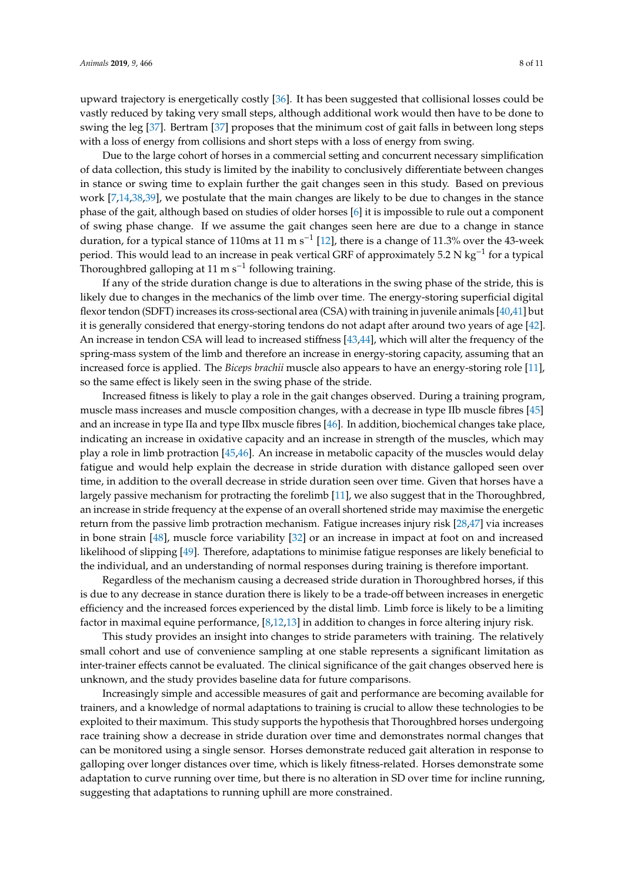upward trajectory is energetically costly [\[36\]](#page-9-15). It has been suggested that collisional losses could be vastly reduced by taking very small steps, although additional work would then have to be done to swing the leg [\[37\]](#page-9-16). Bertram [\[37\]](#page-9-16) proposes that the minimum cost of gait falls in between long steps with a loss of energy from collisions and short steps with a loss of energy from swing.

Due to the large cohort of horses in a commercial setting and concurrent necessary simplification of data collection, this study is limited by the inability to conclusively differentiate between changes in stance or swing time to explain further the gait changes seen in this study. Based on previous work [\[7,](#page-8-6)[14,](#page-8-13)[38,](#page-9-17)[39\]](#page-9-18), we postulate that the main changes are likely to be due to changes in the stance phase of the gait, although based on studies of older horses [\[6\]](#page-8-5) it is impossible to rule out a component of swing phase change. If we assume the gait changes seen here are due to a change in stance duration, for a typical stance of 110ms at 11 m s−<sup>1</sup> [\[12\]](#page-8-11), there is a change of 11.3% over the 43-week period. This would lead to an increase in peak vertical GRF of approximately 5.2 N kg<sup>-1</sup> for a typical -<br>Thoroughbred galloping at 11 m s<sup>-1</sup> following training.

If any of the stride duration change is due to alterations in the swing phase of the stride, this is likely due to changes in the mechanics of the limb over time. The energy-storing superficial digital flexor tendon (SDFT) increases its cross-sectional area (CSA) with training in juvenile animals [\[40](#page-9-19)[,41\]](#page-9-20) but it is generally considered that energy-storing tendons do not adapt after around two years of age [\[42\]](#page-9-21). An increase in tendon CSA will lead to increased stiffness [\[43,](#page-10-0)[44\]](#page-10-1), which will alter the frequency of the spring-mass system of the limb and therefore an increase in energy-storing capacity, assuming that an increased force is applied. The *Biceps brachii* muscle also appears to have an energy-storing role [\[11\]](#page-8-10), so the same effect is likely seen in the swing phase of the stride.

Increased fitness is likely to play a role in the gait changes observed. During a training program, muscle mass increases and muscle composition changes, with a decrease in type IIb muscle fibres [\[45\]](#page-10-2) and an increase in type IIa and type IIbx muscle fibres [\[46\]](#page-10-3). In addition, biochemical changes take place, indicating an increase in oxidative capacity and an increase in strength of the muscles, which may play a role in limb protraction [\[45,](#page-10-2)[46\]](#page-10-3). An increase in metabolic capacity of the muscles would delay fatigue and would help explain the decrease in stride duration with distance galloped seen over time, in addition to the overall decrease in stride duration seen over time. Given that horses have a largely passive mechanism for protracting the forelimb [\[11\]](#page-8-10), we also suggest that in the Thoroughbred, an increase in stride frequency at the expense of an overall shortened stride may maximise the energetic return from the passive limb protraction mechanism. Fatigue increases injury risk [\[28,](#page-9-22)[47\]](#page-10-4) via increases in bone strain [\[48\]](#page-10-5), muscle force variability [\[32\]](#page-9-11) or an increase in impact at foot on and increased likelihood of slipping [\[49\]](#page-10-6). Therefore, adaptations to minimise fatigue responses are likely beneficial to the individual, and an understanding of normal responses during training is therefore important.

Regardless of the mechanism causing a decreased stride duration in Thoroughbred horses, if this is due to any decrease in stance duration there is likely to be a trade-off between increases in energetic efficiency and the increased forces experienced by the distal limb. Limb force is likely to be a limiting factor in maximal equine performance, [\[8](#page-8-7)[,12](#page-8-11)[,13\]](#page-8-12) in addition to changes in force altering injury risk.

This study provides an insight into changes to stride parameters with training. The relatively small cohort and use of convenience sampling at one stable represents a significant limitation as inter-trainer effects cannot be evaluated. The clinical significance of the gait changes observed here is unknown, and the study provides baseline data for future comparisons.

Increasingly simple and accessible measures of gait and performance are becoming available for trainers, and a knowledge of normal adaptations to training is crucial to allow these technologies to be exploited to their maximum. This study supports the hypothesis that Thoroughbred horses undergoing race training show a decrease in stride duration over time and demonstrates normal changes that can be monitored using a single sensor. Horses demonstrate reduced gait alteration in response to galloping over longer distances over time, which is likely fitness-related. Horses demonstrate some adaptation to curve running over time, but there is no alteration in SD over time for incline running, suggesting that adaptations to running uphill are more constrained.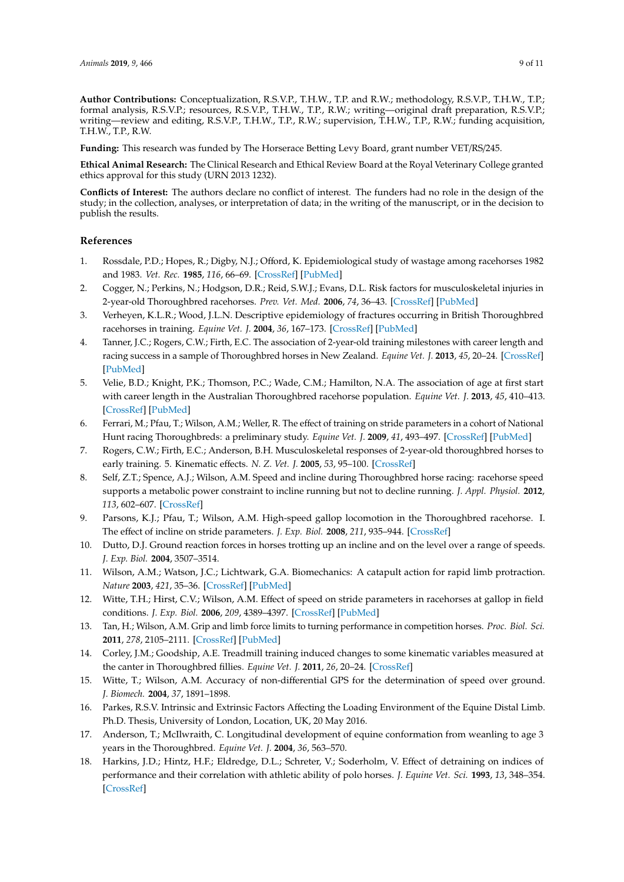**Author Contributions:** Conceptualization, R.S.V.P., T.H.W., T.P. and R.W.; methodology, R.S.V.P., T.H.W., T.P.; formal analysis, R.S.V.P.; resources, R.S.V.P., T.H.W., T.P., R.W.; writing—original draft preparation, R.S.V.P.; writing—review and editing, R.S.V.P., T.H.W., T.P., R.W.; supervision, T.H.W., T.P., R.W.; funding acquisition, T.H.W., T.P., R.W.

**Funding:** This research was funded by The Horserace Betting Levy Board, grant number VET/RS/245.

**Ethical Animal Research:** The Clinical Research and Ethical Review Board at the Royal Veterinary College granted ethics approval for this study (URN 2013 1232).

**Conflicts of Interest:** The authors declare no conflict of interest. The funders had no role in the design of the study; in the collection, analyses, or interpretation of data; in the writing of the manuscript, or in the decision to publish the results.

# **References**

- <span id="page-8-0"></span>1. Rossdale, P.D.; Hopes, R.; Digby, N.J.; Offord, K. Epidemiological study of wastage among racehorses 1982 and 1983. *Vet. Rec.* **1985**, *116*, 66–69. [\[CrossRef\]](http://dx.doi.org/10.1136/vr.116.3.66) [\[PubMed\]](http://www.ncbi.nlm.nih.gov/pubmed/3976145)
- <span id="page-8-1"></span>2. Cogger, N.; Perkins, N.; Hodgson, D.R.; Reid, S.W.J.; Evans, D.L. Risk factors for musculoskeletal injuries in 2-year-old Thoroughbred racehorses. *Prev. Vet. Med.* **2006**, *74*, 36–43. [\[CrossRef\]](http://dx.doi.org/10.1016/j.prevetmed.2006.01.005) [\[PubMed\]](http://www.ncbi.nlm.nih.gov/pubmed/16481055)
- <span id="page-8-2"></span>3. Verheyen, K.L.R.; Wood, J.L.N. Descriptive epidemiology of fractures occurring in British Thoroughbred racehorses in training. *Equine Vet. J.* **2004**, *36*, 167–173. [\[CrossRef\]](http://dx.doi.org/10.2746/0425164044868684) [\[PubMed\]](http://www.ncbi.nlm.nih.gov/pubmed/15038441)
- <span id="page-8-3"></span>4. Tanner, J.C.; Rogers, C.W.; Firth, E.C. The association of 2-year-old training milestones with career length and racing success in a sample of Thoroughbred horses in New Zealand. *Equine Vet. J.* **2013**, *45*, 20–24. [\[CrossRef\]](http://dx.doi.org/10.1111/j.2042-3306.2011.00534.x) [\[PubMed\]](http://www.ncbi.nlm.nih.gov/pubmed/22320408)
- <span id="page-8-4"></span>5. Velie, B.D.; Knight, P.K.; Thomson, P.C.; Wade, C.M.; Hamilton, N.A. The association of age at first start with career length in the Australian Thoroughbred racehorse population. *Equine Vet. J.* **2013**, *45*, 410–413. [\[CrossRef\]](http://dx.doi.org/10.1111/j.2042-3306.2012.00651.x) [\[PubMed\]](http://www.ncbi.nlm.nih.gov/pubmed/23009388)
- <span id="page-8-5"></span>6. Ferrari, M.; Pfau, T.; Wilson, A.M.; Weller, R. The effect of training on stride parameters in a cohort of National Hunt racing Thoroughbreds: a preliminary study. *Equine Vet. J.* **2009**, *41*, 493–497. [\[CrossRef\]](http://dx.doi.org/10.2746/042516409X374591) [\[PubMed\]](http://www.ncbi.nlm.nih.gov/pubmed/19642411)
- <span id="page-8-6"></span>7. Rogers, C.W.; Firth, E.C.; Anderson, B.H. Musculoskeletal responses of 2-year-old thoroughbred horses to early training. 5. Kinematic effects. *N. Z. Vet. J.* **2005**, *53*, 95–100. [\[CrossRef\]](http://dx.doi.org/10.1080/00480169.2005.36486)
- <span id="page-8-7"></span>8. Self, Z.T.; Spence, A.J.; Wilson, A.M. Speed and incline during Thoroughbred horse racing: racehorse speed supports a metabolic power constraint to incline running but not to decline running. *J. Appl. Physiol.* **2012**, *113*, 602–607. [\[CrossRef\]](http://dx.doi.org/10.1152/japplphysiol.00560.2011)
- <span id="page-8-8"></span>9. Parsons, K.J.; Pfau, T.; Wilson, A.M. High-speed gallop locomotion in the Thoroughbred racehorse. I. The effect of incline on stride parameters. *J. Exp. Biol.* **2008**, *211*, 935–944. [\[CrossRef\]](http://dx.doi.org/10.1242/jeb.006650)
- <span id="page-8-9"></span>10. Dutto, D.J. Ground reaction forces in horses trotting up an incline and on the level over a range of speeds. *J. Exp. Biol.* **2004**, 3507–3514.
- <span id="page-8-10"></span>11. Wilson, A.M.; Watson, J.C.; Lichtwark, G.A. Biomechanics: A catapult action for rapid limb protraction. *Nature* **2003**, *421*, 35–36. [\[CrossRef\]](http://dx.doi.org/10.1038/421035a) [\[PubMed\]](http://www.ncbi.nlm.nih.gov/pubmed/12511944)
- <span id="page-8-11"></span>12. Witte, T.H.; Hirst, C.V.; Wilson, A.M. Effect of speed on stride parameters in racehorses at gallop in field conditions. *J. Exp. Biol.* **2006**, *209*, 4389–4397. [\[CrossRef\]](http://dx.doi.org/10.1242/jeb.02518) [\[PubMed\]](http://www.ncbi.nlm.nih.gov/pubmed/17050854)
- <span id="page-8-12"></span>13. Tan, H.; Wilson, A.M. Grip and limb force limits to turning performance in competition horses. *Proc. Biol. Sci.* **2011**, *278*, 2105–2111. [\[CrossRef\]](http://dx.doi.org/10.1098/rspb.2010.2395) [\[PubMed\]](http://www.ncbi.nlm.nih.gov/pubmed/21147799)
- <span id="page-8-13"></span>14. Corley, J.M.; Goodship, A.E. Treadmill training induced changes to some kinematic variables measured at the canter in Thoroughbred fillies. *Equine Vet. J.* **2011**, *26*, 20–24. [\[CrossRef\]](http://dx.doi.org/10.1111/j.2042-3306.1994.tb04867.x)
- <span id="page-8-14"></span>15. Witte, T.; Wilson, A.M. Accuracy of non-differential GPS for the determination of speed over ground. *J. Biomech.* **2004**, *37*, 1891–1898.
- <span id="page-8-15"></span>16. Parkes, R.S.V. Intrinsic and Extrinsic Factors Affecting the Loading Environment of the Equine Distal Limb. Ph.D. Thesis, University of London, Location, UK, 20 May 2016.
- <span id="page-8-16"></span>17. Anderson, T.; McIlwraith, C. Longitudinal development of equine conformation from weanling to age 3 years in the Thoroughbred. *Equine Vet. J.* **2004**, *36*, 563–570.
- <span id="page-8-17"></span>18. Harkins, J.D.; Hintz, H.F.; Eldredge, D.L.; Schreter, V.; Soderholm, V. Effect of detraining on indices of performance and their correlation with athletic ability of polo horses. *J. Equine Vet. Sci.* **1993**, *13*, 348–354. [\[CrossRef\]](http://dx.doi.org/10.1016/S0737-0806(06)81123-8)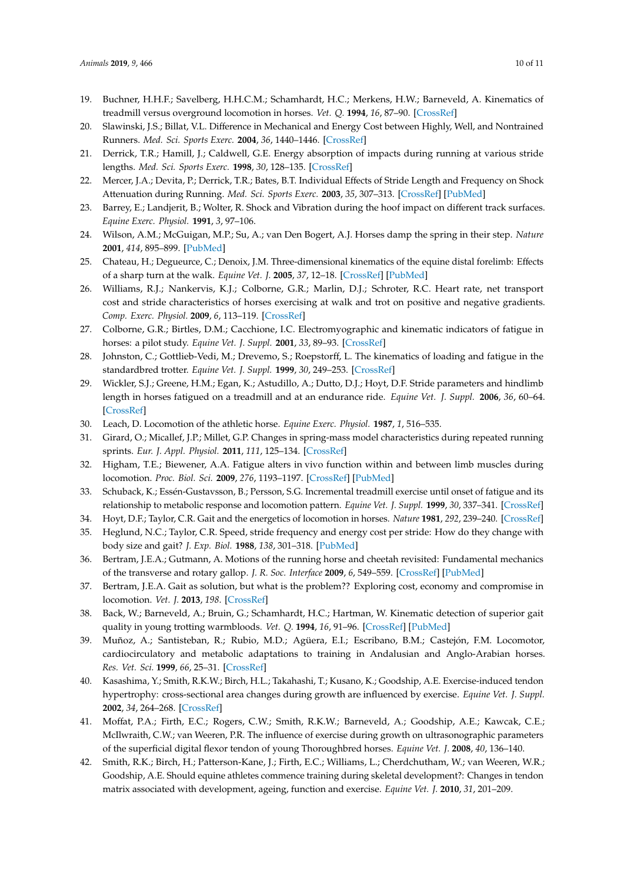- <span id="page-9-0"></span>19. Buchner, H.H.F.; Savelberg, H.H.C.M.; Schamhardt, H.C.; Merkens, H.W.; Barneveld, A. Kinematics of treadmill versus overground locomotion in horses. *Vet. Q.* **1994**, *16*, 87–90. [\[CrossRef\]](http://dx.doi.org/10.1080/01652176.1994.9694509)
- <span id="page-9-1"></span>20. Slawinski, J.S.; Billat, V.L. Difference in Mechanical and Energy Cost between Highly, Well, and Nontrained Runners. *Med. Sci. Sports Exerc.* **2004**, *36*, 1440–1446. [\[CrossRef\]](http://dx.doi.org/10.1249/01.MSS.0000135785.68760.96)
- <span id="page-9-2"></span>21. Derrick, T.R.; Hamill, J.; Caldwell, G.E. Energy absorption of impacts during running at various stride lengths. *Med. Sci. Sports Exerc.* **1998**, *30*, 128–135. [\[CrossRef\]](http://dx.doi.org/10.1097/00005768-199801000-00018)
- <span id="page-9-3"></span>22. Mercer, J.A.; Devita, P.; Derrick, T.R.; Bates, B.T. Individual Effects of Stride Length and Frequency on Shock Attenuation during Running. *Med. Sci. Sports Exerc.* **2003**, *35*, 307–313. [\[CrossRef\]](http://dx.doi.org/10.1249/01.MSS.0000048837.81430.E7) [\[PubMed\]](http://www.ncbi.nlm.nih.gov/pubmed/12569221)
- <span id="page-9-4"></span>23. Barrey, E.; Landjerit, B.; Wolter, R. Shock and Vibration during the hoof impact on different track surfaces. *Equine Exerc. Physiol.* **1991**, *3*, 97–106.
- <span id="page-9-5"></span>24. Wilson, A.M.; McGuigan, M.P.; Su, A.; van Den Bogert, A.J. Horses damp the spring in their step. *Nature* **2001**, *414*, 895–899. [\[PubMed\]](http://www.ncbi.nlm.nih.gov/pubmed/11780059)
- <span id="page-9-6"></span>25. Chateau, H.; Degueurce, C.; Denoix, J.M. Three-dimensional kinematics of the equine distal forelimb: Effects of a sharp turn at the walk. *Equine Vet. J.* **2005**, *37*, 12–18. [\[CrossRef\]](http://dx.doi.org/10.2746/0425164054406946) [\[PubMed\]](http://www.ncbi.nlm.nih.gov/pubmed/15651728)
- <span id="page-9-7"></span>26. Williams, R.J.; Nankervis, K.J.; Colborne, G.R.; Marlin, D.J.; Schroter, R.C. Heart rate, net transport cost and stride characteristics of horses exercising at walk and trot on positive and negative gradients. *Comp. Exerc. Physiol.* **2009**, *6*, 113–119. [\[CrossRef\]](http://dx.doi.org/10.1017/S1755254009990092)
- <span id="page-9-8"></span>27. Colborne, G.R.; Birtles, D.M.; Cacchione, I.C. Electromyographic and kinematic indicators of fatigue in horses: a pilot study. *Equine Vet. J. Suppl.* **2001**, *33*, 89–93. [\[CrossRef\]](http://dx.doi.org/10.1111/j.2042-3306.2001.tb05367.x)
- <span id="page-9-22"></span>28. Johnston, C.; Gottlieb-Vedi, M.; Drevemo, S.; Roepstorff, L. The kinematics of loading and fatigue in the standardbred trotter. *Equine Vet. J. Suppl.* **1999**, *30*, 249–253. [\[CrossRef\]](http://dx.doi.org/10.1111/j.2042-3306.1999.tb05228.x)
- 29. Wickler, S.J.; Greene, H.M.; Egan, K.; Astudillo, A.; Dutto, D.J.; Hoyt, D.F. Stride parameters and hindlimb length in horses fatigued on a treadmill and at an endurance ride. *Equine Vet. J. Suppl.* **2006**, *36*, 60–64. [\[CrossRef\]](http://dx.doi.org/10.1111/j.2042-3306.2006.tb05514.x)
- <span id="page-9-9"></span>30. Leach, D. Locomotion of the athletic horse. *Equine Exerc. Physiol.* **1987**, *1*, 516–535.
- <span id="page-9-10"></span>31. Girard, O.; Micallef, J.P.; Millet, G.P. Changes in spring-mass model characteristics during repeated running sprints. *Eur. J. Appl. Physiol.* **2011**, *111*, 125–134. [\[CrossRef\]](http://dx.doi.org/10.1007/s00421-010-1638-9)
- <span id="page-9-11"></span>32. Higham, T.E.; Biewener, A.A. Fatigue alters in vivo function within and between limb muscles during locomotion. *Proc. Biol. Sci.* **2009**, *276*, 1193–1197. [\[CrossRef\]](http://dx.doi.org/10.1098/rspb.2008.1734) [\[PubMed\]](http://www.ncbi.nlm.nih.gov/pubmed/19129096)
- <span id="page-9-12"></span>33. Schuback, K.; Essén-Gustavsson, B.; Persson, S.G. Incremental treadmill exercise until onset of fatigue and its relationship to metabolic response and locomotion pattern. *Equine Vet. J. Suppl.* **1999**, *30*, 337–341. [\[CrossRef\]](http://dx.doi.org/10.1111/j.2042-3306.1999.tb05245.x)
- <span id="page-9-13"></span>34. Hoyt, D.F.; Taylor, C.R. Gait and the energetics of locomotion in horses. *Nature* **1981**, *292*, 239–240. [\[CrossRef\]](http://dx.doi.org/10.1038/292239a0)
- <span id="page-9-14"></span>35. Heglund, N.C.; Taylor, C.R. Speed, stride frequency and energy cost per stride: How do they change with body size and gait? *J. Exp. Biol.* **1988**, *138*, 301–318. [\[PubMed\]](http://www.ncbi.nlm.nih.gov/pubmed/3193059)
- <span id="page-9-15"></span>36. Bertram, J.E.A.; Gutmann, A. Motions of the running horse and cheetah revisited: Fundamental mechanics of the transverse and rotary gallop. *J. R. Soc. Interface* **2009**, *6*, 549–559. [\[CrossRef\]](http://dx.doi.org/10.1098/rsif.2008.0328) [\[PubMed\]](http://www.ncbi.nlm.nih.gov/pubmed/18854295)
- <span id="page-9-16"></span>37. Bertram, J.E.A. Gait as solution, but what is the problem?? Exploring cost, economy and compromise in locomotion. *Vet. J.* **2013**, *198*. [\[CrossRef\]](http://dx.doi.org/10.1016/j.tvjl.2013.09.025)
- <span id="page-9-17"></span>38. Back, W.; Barneveld, A.; Bruin, G.; Schamhardt, H.C.; Hartman, W. Kinematic detection of superior gait quality in young trotting warmbloods. *Vet. Q.* **1994**, *16*, 91–96. [\[CrossRef\]](http://dx.doi.org/10.1080/01652176.1994.9694510) [\[PubMed\]](http://www.ncbi.nlm.nih.gov/pubmed/7985363)
- <span id="page-9-18"></span>39. Muñoz, A.; Santisteban, R.; Rubio, M.D.; Agüera, E.I.; Escribano, B.M.; Castejón, F.M. Locomotor, cardiocirculatory and metabolic adaptations to training in Andalusian and Anglo-Arabian horses. *Res. Vet. Sci.* **1999**, *66*, 25–31. [\[CrossRef\]](http://dx.doi.org/10.1053/rvsc.1998.0235)
- <span id="page-9-19"></span>40. Kasashima, Y.; Smith, R.K.W.; Birch, H.L.; Takahashi, T.; Kusano, K.; Goodship, A.E. Exercise-induced tendon hypertrophy: cross-sectional area changes during growth are influenced by exercise. *Equine Vet. J. Suppl.* **2002**, *34*, 264–268. [\[CrossRef\]](http://dx.doi.org/10.1111/j.2042-3306.2002.tb05430.x)
- <span id="page-9-20"></span>41. Moffat, P.A.; Firth, E.C.; Rogers, C.W.; Smith, R.K.W.; Barneveld, A.; Goodship, A.E.; Kawcak, C.E.; McIlwraith, C.W.; van Weeren, P.R. The influence of exercise during growth on ultrasonographic parameters of the superficial digital flexor tendon of young Thoroughbred horses. *Equine Vet. J.* **2008**, *40*, 136–140.
- <span id="page-9-21"></span>42. Smith, R.K.; Birch, H.; Patterson-Kane, J.; Firth, E.C.; Williams, L.; Cherdchutham, W.; van Weeren, W.R.; Goodship, A.E. Should equine athletes commence training during skeletal development?: Changes in tendon matrix associated with development, ageing, function and exercise. *Equine Vet. J.* **2010**, *31*, 201–209.